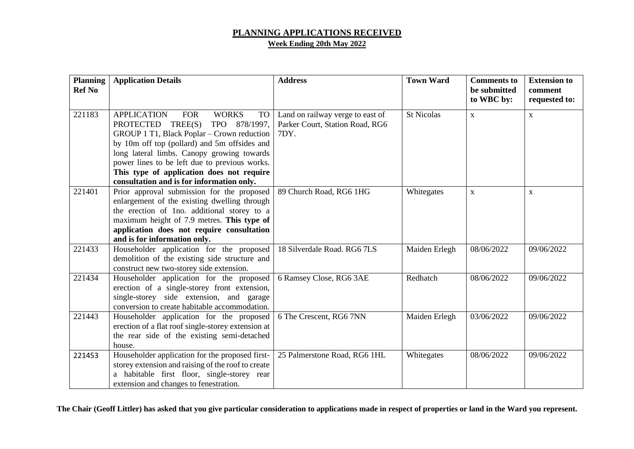## **PLANNING APPLICATIONS RECEIVED Week Ending 20th May 2022**

| <b>Planning</b><br><b>Ref No</b> | <b>Application Details</b>                                                                                                                                                                                                                                                                                                                                                                 | <b>Address</b>                                                              | <b>Town Ward</b>  | <b>Comments to</b><br>be submitted<br>to WBC by: | <b>Extension to</b><br>comment<br>requested to: |
|----------------------------------|--------------------------------------------------------------------------------------------------------------------------------------------------------------------------------------------------------------------------------------------------------------------------------------------------------------------------------------------------------------------------------------------|-----------------------------------------------------------------------------|-------------------|--------------------------------------------------|-------------------------------------------------|
|                                  |                                                                                                                                                                                                                                                                                                                                                                                            |                                                                             |                   |                                                  |                                                 |
| 221183                           | <b>APPLICATION</b><br><b>WORKS</b><br><b>FOR</b><br><b>TO</b><br>PROTECTED TREE(S)<br>TPO 878/1997,<br>GROUP 1 T1, Black Poplar – Crown reduction<br>by 10m off top (pollard) and 5m offsides and<br>long lateral limbs. Canopy growing towards<br>power lines to be left due to previous works.<br>This type of application does not require<br>consultation and is for information only. | Land on railway verge to east of<br>Parker Court, Station Road, RG6<br>7DY. | <b>St Nicolas</b> | $\mathbf X$                                      | $\mathbf{X}$                                    |
| 221401                           | Prior approval submission for the proposed<br>enlargement of the existing dwelling through<br>the erection of 1no. additional storey to a<br>maximum height of 7.9 metres. This type of<br>application does not require consultation<br>and is for information only.                                                                                                                       | 89 Church Road, RG6 1HG                                                     | Whitegates        | $\mathbf X$                                      | $\mathbf{X}$                                    |
| 221433                           | Householder application for the proposed<br>demolition of the existing side structure and<br>construct new two-storey side extension.                                                                                                                                                                                                                                                      | 18 Silverdale Road. RG6 7LS                                                 | Maiden Erlegh     | 08/06/2022                                       | 09/06/2022                                      |
| 221434                           | Householder application for the proposed<br>erection of a single-storey front extension,<br>single-storey side extension, and garage<br>conversion to create habitable accommodation.                                                                                                                                                                                                      | 6 Ramsey Close, RG6 3AE                                                     | Redhatch          | 08/06/2022                                       | 09/06/2022                                      |
| 221443                           | Householder application for the proposed<br>erection of a flat roof single-storey extension at<br>the rear side of the existing semi-detached<br>house.                                                                                                                                                                                                                                    | 6 The Crescent, RG6 7NN                                                     | Maiden Erlegh     | 03/06/2022                                       | 09/06/2022                                      |
| 221453                           | Householder application for the proposed first-<br>storey extension and raising of the roof to create<br>a habitable first floor, single-storey rear<br>extension and changes to fenestration.                                                                                                                                                                                             | 25 Palmerstone Road, RG6 1HL                                                | Whitegates        | 08/06/2022                                       | 09/06/2022                                      |

**The Chair (Geoff Littler) has asked that you give particular consideration to applications made in respect of properties or land in the Ward you represent.**